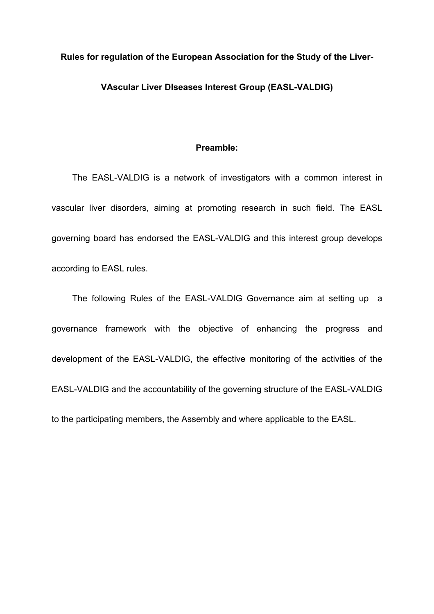#### **Rules for regulation of the European Association for the Study of the Liver-**

## **VAscular Liver DIseases Interest Group (EASL-VALDIG)**

### **Preamble:**

The EASL-VALDIG is a network of investigators with a common interest in vascular liver disorders, aiming at promoting research in such field. The EASL governing board has endorsed the EASL-VALDIG and this interest group develops according to EASL rules.

The following Rules of the EASL-VALDIG Governance aim at setting up a governance framework with the objective of enhancing the progress and development of the EASL-VALDIG, the effective monitoring of the activities of the EASL-VALDIG and the accountability of the governing structure of the EASL-VALDIG to the participating members, the Assembly and where applicable to the EASL.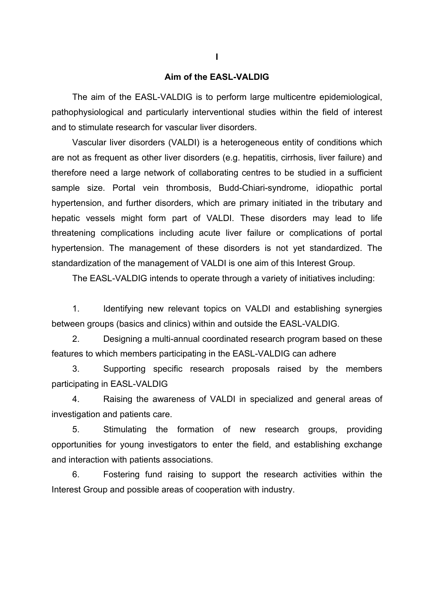#### **Aim of the EASL-VALDIG**

The aim of the EASL-VALDIG is to perform large multicentre epidemiological, pathophysiological and particularly interventional studies within the field of interest and to stimulate research for vascular liver disorders.

Vascular liver disorders (VALDI) is a heterogeneous entity of conditions which are not as frequent as other liver disorders (e.g. hepatitis, cirrhosis, liver failure) and therefore need a large network of collaborating centres to be studied in a sufficient sample size. Portal vein thrombosis, Budd-Chiari-syndrome, idiopathic portal hypertension, and further disorders, which are primary initiated in the tributary and hepatic vessels might form part of VALDI. These disorders may lead to life threatening complications including acute liver failure or complications of portal hypertension. The management of these disorders is not yet standardized. The standardization of the management of VALDI is one aim of this Interest Group.

The EASL-VALDIG intends to operate through a variety of initiatives including:

1. Identifying new relevant topics on VALDI and establishing synergies between groups (basics and clinics) within and outside the EASL-VALDIG.

2. Designing a multi-annual coordinated research program based on these features to which members participating in the EASL-VALDIG can adhere

3. Supporting specific research proposals raised by the members participating in EASL-VALDIG

4. Raising the awareness of VALDI in specialized and general areas of investigation and patients care.

5. Stimulating the formation of new research groups, providing opportunities for young investigators to enter the field, and establishing exchange and interaction with patients associations.

6. Fostering fund raising to support the research activities within the Interest Group and possible areas of cooperation with industry.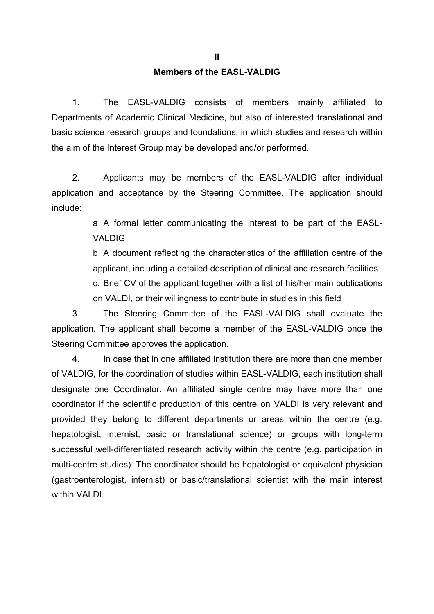# **Members of the EASL-VALDIG**

1. The EASL-VALDIG consists of members mainly affiliated to Departments of Academic Clinical Medicine, but also of interested translational and basic science research groups and foundations, in which studies and research within the aim of the Interest Group may be developed and/or performed.

2. Applicants may be members of the EASL-VALDIG after individual application and acceptance by the Steering Committee. The application should include:

> a. A formal letter communicating the interest to be part of the EASL-VALDIG

> b. A document reflecting the characteristics of the affiliation centre of the applicant, including a detailed description of clinical and research facilities c. Brief CV of the applicant together with a list of his/her main publications on VALDI, or their willingness to contribute in studies in this field

3. The Steering Committee of the EASL-VALDIG shall evaluate the application. The applicant shall become a member of the EASL-VALDIG once the Steering Committee approves the application.

4. In case that in one affiliated institution there are more than one member of VALDIG, for the coordination of studies within EASL-VALDIG, each institution shall designate one Coordinator. An affiliated single centre may have more than one coordinator if the scientific production of this centre on VALDI is very relevant and provided they belong to different departments or areas within the centre (e.g. hepatologist, internist, basic or translational science) or groups with long-term successful well-differentiated research activity within the centre (e.g. participation in multi-centre studies). The coordinator should be hepatologist or equivalent physician (gastroenterologist, internist) or basic/translational scientist with the main interest within VALDI.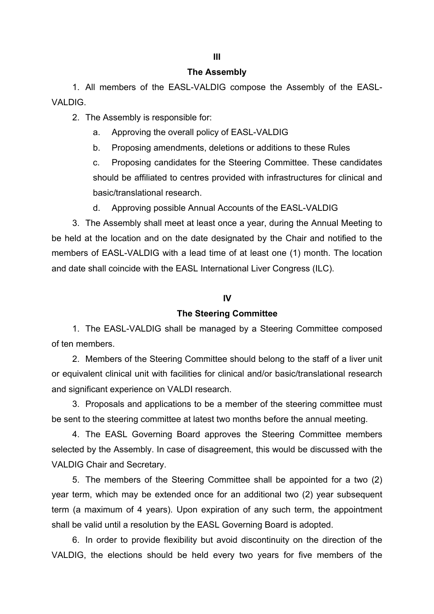#### **The Assembly**

1. All members of the EASL-VALDIG compose the Assembly of the EASL-VALDIG.

2. The Assembly is responsible for:

a. Approving the overall policy of EASL-VALDIG

b. Proposing amendments, deletions or additions to these Rules

c. Proposing candidates for the Steering Committee. These candidates should be affiliated to centres provided with infrastructures for clinical and basic/translational research.

d. Approving possible Annual Accounts of the EASL-VALDIG

3. The Assembly shall meet at least once a year, during the Annual Meeting to be held at the location and on the date designated by the Chair and notified to the members of EASL-VALDIG with a lead time of at least one (1) month. The location and date shall coincide with the EASL International Liver Congress (ILC).

#### **IV**

#### **The Steering Committee**

1. The EASL-VALDIG shall be managed by a Steering Committee composed of ten members.

2. Members of the Steering Committee should belong to the staff of a liver unit or equivalent clinical unit with facilities for clinical and/or basic/translational research and significant experience on VALDI research.

3. Proposals and applications to be a member of the steering committee must be sent to the steering committee at latest two months before the annual meeting.

4. The EASL Governing Board approves the Steering Committee members selected by the Assembly. In case of disagreement, this would be discussed with the VALDIG Chair and Secretary.

5. The members of the Steering Committee shall be appointed for a two (2) year term, which may be extended once for an additional two (2) year subsequent term (a maximum of 4 years). Upon expiration of any such term, the appointment shall be valid until a resolution by the EASL Governing Board is adopted.

6. In order to provide flexibility but avoid discontinuity on the direction of the VALDIG, the elections should be held every two years for five members of the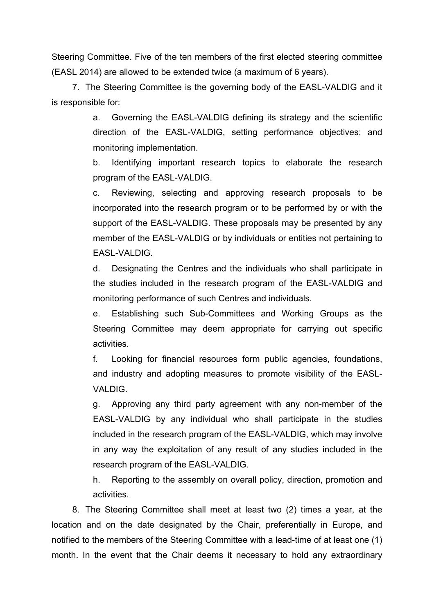Steering Committee. Five of the ten members of the first elected steering committee (EASL 2014) are allowed to be extended twice (a maximum of 6 years).

7. The Steering Committee is the governing body of the EASL-VALDIG and it is responsible for:

> a. Governing the EASL-VALDIG defining its strategy and the scientific direction of the EASL-VALDIG, setting performance objectives; and monitoring implementation.

> b. Identifying important research topics to elaborate the research program of the EASL-VALDIG.

> c. Reviewing, selecting and approving research proposals to be incorporated into the research program or to be performed by or with the support of the EASL-VALDIG. These proposals may be presented by any member of the EASL-VALDIG or by individuals or entities not pertaining to EASL-VALDIG.

> d. Designating the Centres and the individuals who shall participate in the studies included in the research program of the EASL-VALDIG and monitoring performance of such Centres and individuals.

> e. Establishing such Sub-Committees and Working Groups as the Steering Committee may deem appropriate for carrying out specific activities.

> f. Looking for financial resources form public agencies, foundations, and industry and adopting measures to promote visibility of the EASL-VALDIG.

> g. Approving any third party agreement with any non-member of the EASL-VALDIG by any individual who shall participate in the studies included in the research program of the EASL-VALDIG, which may involve in any way the exploitation of any result of any studies included in the research program of the EASL-VALDIG.

> h. Reporting to the assembly on overall policy, direction, promotion and activities.

8. The Steering Committee shall meet at least two (2) times a year, at the location and on the date designated by the Chair, preferentially in Europe, and notified to the members of the Steering Committee with a lead-time of at least one (1) month. In the event that the Chair deems it necessary to hold any extraordinary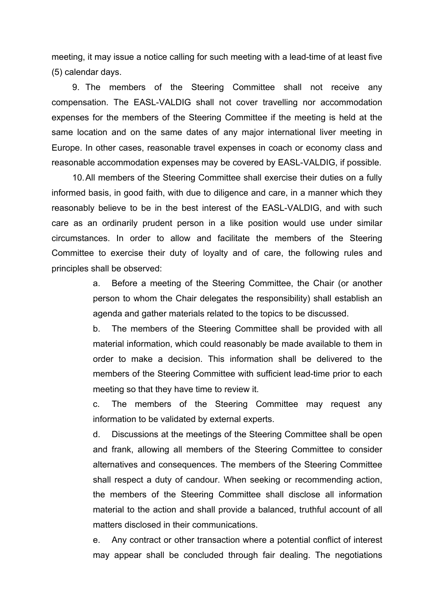meeting, it may issue a notice calling for such meeting with a lead-time of at least five (5) calendar days.

9. The members of the Steering Committee shall not receive any compensation. The EASL-VALDIG shall not cover travelling nor accommodation expenses for the members of the Steering Committee if the meeting is held at the same location and on the same dates of any major international liver meeting in Europe. In other cases, reasonable travel expenses in coach or economy class and reasonable accommodation expenses may be covered by EASL-VALDIG, if possible.

10.All members of the Steering Committee shall exercise their duties on a fully informed basis, in good faith, with due to diligence and care, in a manner which they reasonably believe to be in the best interest of the EASL-VALDIG, and with such care as an ordinarily prudent person in a like position would use under similar circumstances. In order to allow and facilitate the members of the Steering Committee to exercise their duty of loyalty and of care, the following rules and principles shall be observed:

> a. Before a meeting of the Steering Committee, the Chair (or another person to whom the Chair delegates the responsibility) shall establish an agenda and gather materials related to the topics to be discussed.

> b. The members of the Steering Committee shall be provided with all material information, which could reasonably be made available to them in order to make a decision. This information shall be delivered to the members of the Steering Committee with sufficient lead-time prior to each meeting so that they have time to review it.

> c. The members of the Steering Committee may request any information to be validated by external experts.

> d. Discussions at the meetings of the Steering Committee shall be open and frank, allowing all members of the Steering Committee to consider alternatives and consequences. The members of the Steering Committee shall respect a duty of candour. When seeking or recommending action, the members of the Steering Committee shall disclose all information material to the action and shall provide a balanced, truthful account of all matters disclosed in their communications.

> e. Any contract or other transaction where a potential conflict of interest may appear shall be concluded through fair dealing. The negotiations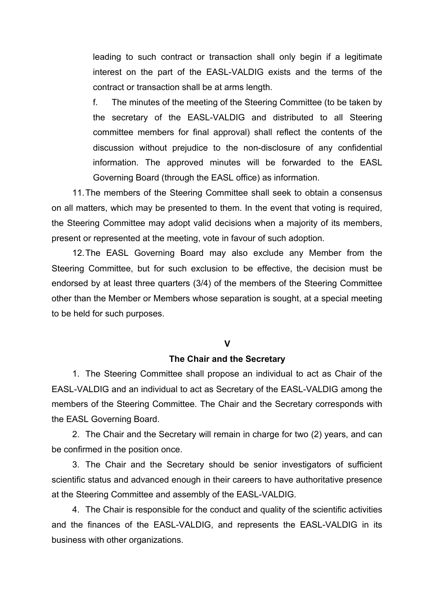leading to such contract or transaction shall only begin if a legitimate interest on the part of the EASL-VALDIG exists and the terms of the contract or transaction shall be at arms length.

f. The minutes of the meeting of the Steering Committee (to be taken by the secretary of the EASL-VALDIG and distributed to all Steering committee members for final approval) shall reflect the contents of the discussion without prejudice to the non-disclosure of any confidential information. The approved minutes will be forwarded to the EASL Governing Board (through the EASL office) as information.

11.The members of the Steering Committee shall seek to obtain a consensus on all matters, which may be presented to them. In the event that voting is required, the Steering Committee may adopt valid decisions when a majority of its members, present or represented at the meeting, vote in favour of such adoption.

12.The EASL Governing Board may also exclude any Member from the Steering Committee, but for such exclusion to be effective, the decision must be endorsed by at least three quarters (3/4) of the members of the Steering Committee other than the Member or Members whose separation is sought, at a special meeting to be held for such purposes.

#### **V**

#### **The Chair and the Secretary**

1. The Steering Committee shall propose an individual to act as Chair of the EASL-VALDIG and an individual to act as Secretary of the EASL-VALDIG among the members of the Steering Committee. The Chair and the Secretary corresponds with the EASL Governing Board.

2. The Chair and the Secretary will remain in charge for two (2) years, and can be confirmed in the position once.

3. The Chair and the Secretary should be senior investigators of sufficient scientific status and advanced enough in their careers to have authoritative presence at the Steering Committee and assembly of the EASL-VALDIG.

4. The Chair is responsible for the conduct and quality of the scientific activities and the finances of the EASL-VALDIG, and represents the EASL-VALDIG in its business with other organizations.